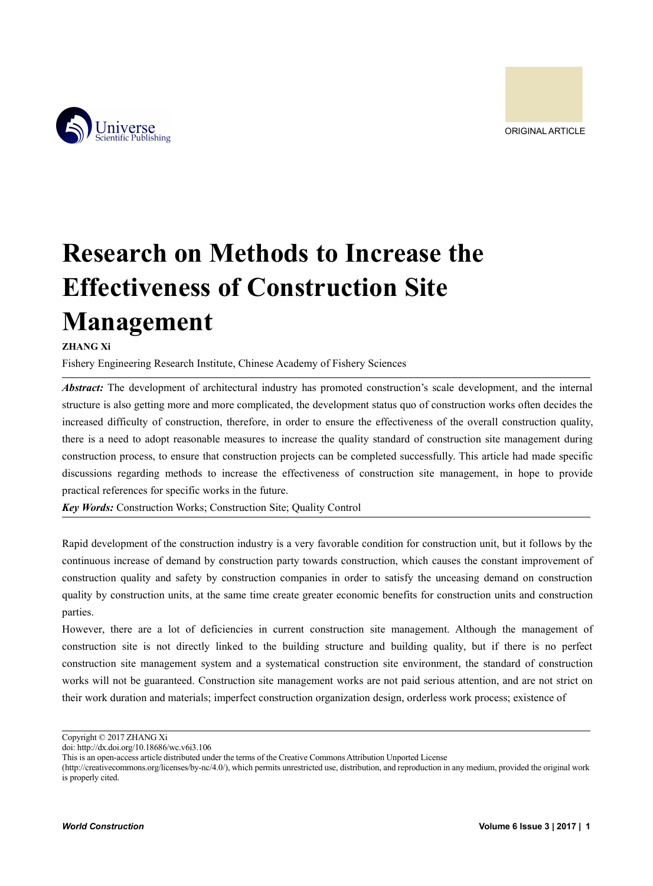

# **Research on Methods to Increase the Effectiveness of Construction Site Management**

#### **ZHANG Xi**

Fishery Engineering Research Institute, Chinese Academy of Fishery Sciences

*Abstract:* The development of architectural industry has promoted construction's scale development, and the internal structure is also getting more and more complicated, the development status quo of construction works often decides the increased difficulty of construction, therefore, in order to ensure the effectiveness of the overall construction quality, there is a need to adopt reasonable measures to increase the quality standard of construction site management during construction process, to ensure that construction projects can be completed successfully. This article had made specific discussions regarding methods to increase the effectiveness of construction site management, in hope to provide practical references for specific works in the future.

*Key Words:* Construction Works; Construction Site; Quality Control

Rapid development of the construction industry is a very favorable condition for construction unit, but it follows by the continuous increase of demand by construction party towards construction, which causes the constant improvement of construction quality and safety by construction companies in order to satisfy the unceasing demand on construction quality by construction units, at the same time create greater economic benefits for construction units and construction parties.

However, there are a lot of deficiencies in current construction site management. Although the management of construction site is not directly linked to the building structure and building quality, but if there is no perfect construction site management system and a systematical construction site environment, the standard of construction works will not be guaranteed. Construction site management works are not paid serious attention, and are not strict on their work duration and materials; imperfect construction organization design, orderless work process; existence of

Copyright © 2017 ZHANG Xi

doi: http://dx.doi.org/10.18686/wc.v6i3.106

This is an open-access article distributed under the terms of the Creative Commons Attribution Unported License

<sup>(</sup>http://creativecommons.org/licenses/by-nc/4.0/), which permits unrestricted use, distribution, and reproduction in any medium, provided the original work is properly cited.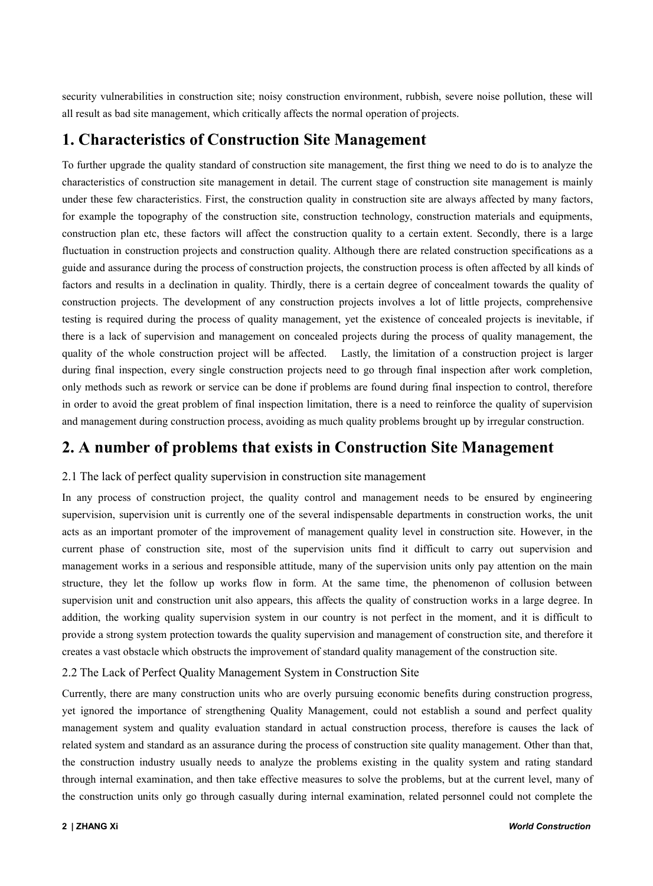security vulnerabilities in construction site; noisy construction environment, rubbish, severe noise pollution, these will all result as bad site management, which critically affects the normal operation of projects.

# **1. Characteristics ofConstruction Site Management**

To further upgrade the quality standard of construction site management, the first thing we need to do is to analyze the characteristics of construction site management in detail. The currentstage of construction site management is mainly under these few characteristics. First, the construction quality in construction site are always affected by many factors, for example the topography of the construction site, construction technology, construction materials and equipments, construction plan etc, these factors will affect the construction quality to a certain extent. Secondly, there is a large fluctuation in construction projects and construction quality. Although there are related construction specifications as a guide and assurance during the process of construction projects, the construction process is often affected by all kinds of factors and results in a declination in quality. Thirdly, there is a certain degree of concealment towards the quality of construction projects. The development of any construction projects involves a lot of little projects, comprehensive testing is required during the process of quality management, yet the existence of concealed projects is inevitable, if there is a lack of supervision and management on concealed projects during the process of quality management, the quality of the whole construction project will be affected. Lastly, the limitation of a construction project is larger during final inspection, every single construction projects need to go through final inspection after work completion, only methods such as rework or service can be done if problems are found during final inspection to control, therefore in order to avoid the great problem of final inspection limitation, there is a need to reinforce the quality of supervision and management during construction process, avoiding as much quality problems brought up by irregular construction.

# **2. A number of problems that exists in Construction Site Management**

#### 2.1 The lack of perfect quality supervision in construction site management

In any process of construction project, the quality control and management needs to be ensured by engineering supervision, supervision unit is currently one of the several indispensable departments in construction works, the unit acts as an important promoter of the improvement of management quality level in construction site. However, in the current phase of construction site, most of the supervision units find it difficult to carry out supervision and management works in a serious and responsible attitude, many of the supervision units only pay attention on the main structure, they let the follow up works flow in form. At the same time, the phenomenon of collusion between supervision unit and construction unit also appears, this affects the quality of construction works in a large degree. In addition, the working quality supervision system in our country is not perfect in the moment, and it is difficult to provide a strong system protection towards the quality supervision and management of construction site, and therefore it creates a vast obstacle which obstructs the improvement of standard quality management of the construction site.

#### 2.2 The Lack of Perfect Quality Management System in Construction Site

Currently, there are many construction units who are overly pursuing economic benefits during construction progress, yet ignored the importance of strengthening Quality Management, could not establish a sound and perfect quality management system and quality evaluation standard in actual construction process, therefore is causes the lack of related system and standard as an assurance during the process of construction site quality management. Other than that, the construction industry usually needs to analyze the problems existing in the quality system and rating standard through internal examination, and then take effective measures to solve the problems, but at the current level, many of the construction units only go through casually during internal examination, related personnel could not complete the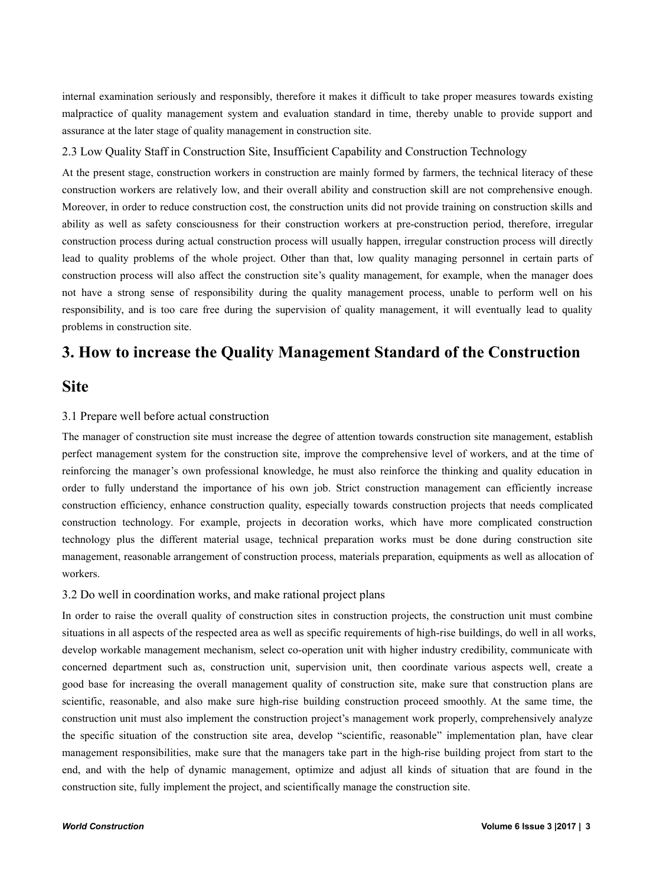internal examination seriously and responsibly, therefore it makes it difficult to take proper measures towards existing malpractice of quality management system and evaluation standard in time, thereby unable to provide support and assurance at the later stage of quality management in construction site.

#### 2.3 Low Quality Staff in Construction Site, Insufficient Capability and Construction Technology

At the present stage, construction workers in construction are mainly formed by farmers, the technical literacy of these construction workers are relatively low, and their overall ability and construction skill are not comprehensive enough. Moreover, in order to reduce construction cost, the construction units did not provide training on construction skills and ability as well as safety consciousness for their construction workers at pre-construction period, therefore, irregular construction process during actual construction process will usually happen, irregular construction process will directly lead to quality problems of the whole project. Other than that, low quality managing personnel in certain parts of construction process will also affect the construction site's quality management, for example, when the manager does not have a strong sense of responsibility during the quality management process, unable to perform well on his responsibility, and is too care free during the supervision of quality management, it will eventually lead to quality problems in construction site.

## **3. How to increase the Quality Management Standard of the Construction**

### **Site**

#### 3.1 Prepare well before actual construction

The manager of construction site must increase the degree of attention towards construction site management, establish perfect management system for the construction site, improve the comprehensive level of workers, and at the time of reinforcing the manager's own professional knowledge, he must also reinforce the thinking and quality education in order to fully understand the importance of his own job. Strict construction management can efficiently increase construction efficiency, enhance construction quality, especially towards construction projects that needs complicated construction technology. For example, projects in decoration works, which have more complicated construction technology plus the different material usage, technical preparation works must be done during construction site management, reasonable arrangement of construction process, materials preparation, equipments as well as allocation of workers.

#### 3.2 Do well in coordination works, and make rational project plans

In order to raise the overall quality of construction sites in construction projects, the construction unit must combine situations in all aspects of the respected area as well as specific requirements of high-rise buildings, do well in all works, develop workable management mechanism, select co-operation unit with higher industry credibility, communicate with concerned department such as, construction unit, supervision unit, then coordinate various aspects well, create a good base for increasing the overall management quality of construction site, make sure that construction plans are scientific, reasonable, and also make sure high-rise building construction proceed smoothly. At the same time, the construction unit must also implement the construction project's management work properly, comprehensively analyze the specific situation of the construction site area, develop "scientific, reasonable" implementation plan, have clear management responsibilities, make sure that the managers take part in the high-rise building project from start to the end, and with the help of dynamic management, optimize and adjust all kinds of situation that are found in the construction site, fully implement the project, and scientifically manage the construction site.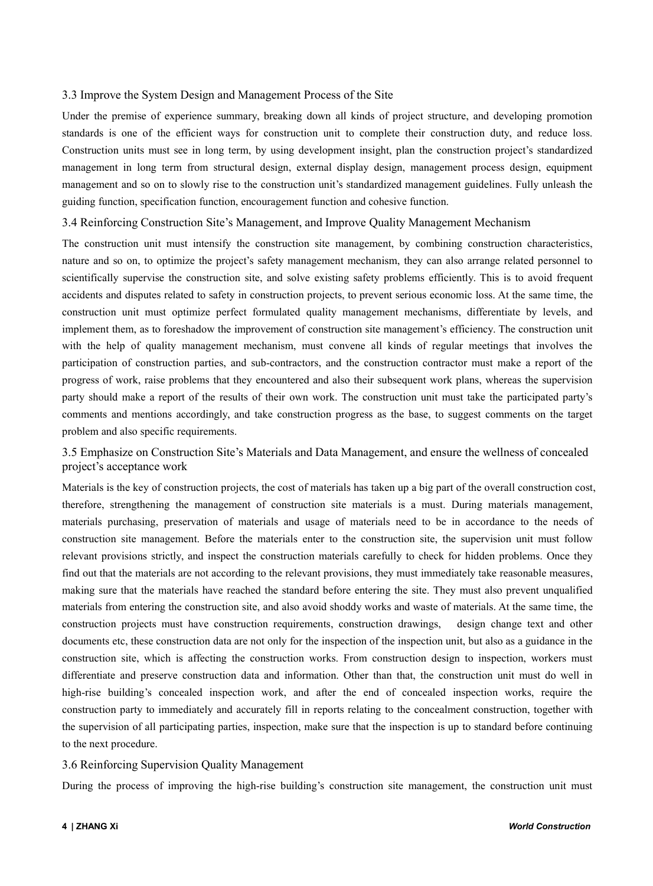#### 3.3 Improve the System Design and Management Process of the Site

Under the premise of experience summary, breaking down all kinds of project structure, and developing promotion standards is one of the efficient ways for construction unit to complete their construction duty, and reduce loss. Construction units must see in long term, by using development insight, plan the construction project's standardized management in long term from structural design, external display design, management process design, equipment management and so on to slowly rise to the construction unit's standardized management guidelines. Fully unleash the guiding function, specification function, encouragement function and cohesive function.

#### 3.4 Reinforcing Construction Site's Management, and Improve Quality Management Mechanism

The construction unit must intensify the construction site management, by combining construction characteristics, nature and so on, to optimize the project's safety management mechanism, they can also arrange related personnel to scientifically supervise the construction site, and solve existing safety problems efficiently. This is to avoid frequent accidents and disputes related to safety in construction projects, to prevent serious economic loss. At the same time, the construction unit must optimize perfect formulated quality management mechanisms, differentiate by levels, and implement them, as to foreshadow the improvement of construction site management's efficiency. The construction unit with the help of quality management mechanism, must convene all kinds of regular meetings that involves the participation of construction parties, and sub-contractors, and the construction contractor must make a report of the progress of work, raise problems that they encountered and also their subsequent work plans, whereas the supervision party should make a report of the results of their own work. The construction unit musttake the participated party's comments and mentions accordingly, and take construction progress as the base, to suggest comments on the target problem and also specific requirements.

#### 3.5 Emphasize on Construction Site's Materials and Data Management, and ensure the wellness ofconcealed project's acceptance work

Materials is the key of construction projects, the cost of materials has taken up a big part of the overall construction cost, therefore, strengthening the management of construction site materials is a must. During materials management, materials purchasing, preservation of materials and usage of materials need to be in accordance to the needs of construction site management. Before the materials enter to the construction site, the supervision unit must follow relevant provisions strictly, and inspect the construction materials carefully to check for hidden problems. Once they find out that the materials are not according to the relevant provisions, they must immediately take reasonable measures, making sure that the materials have reached the standard before entering the site. They must also prevent unqualified materials from entering the construction site, and also avoid shoddy works and waste of materials. At the same time, the construction projects must have construction requirements, construction drawings, design change text and other documents etc, these construction data are not only for the inspection of the inspection unit, but also as a guidance in the construction site, which is affecting the construction works. From construction design to inspection, workers must differentiate and preserve construction data and information. Other than that, the construction unit must do well in high-rise building's concealed inspection work, and after the end of concealed inspection works, require the construction party to immediately and accurately fill in reports relating to the concealment construction, together with the supervision of all participating parties, inspection, make sure that the inspection is up to standard before continuing to the next procedure.

#### 3.6 Reinforcing Supervision Quality Management

During the process of improving the high-rise building's construction site management, the construction unit must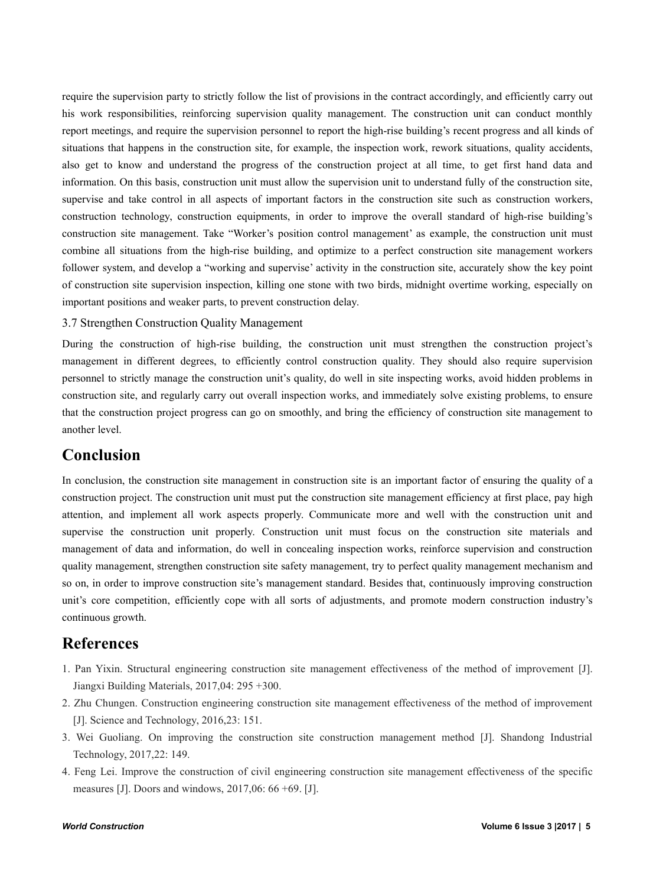require the supervision party to strictly follow the list of provisions in the contract accordingly, and efficiently carry out his work responsibilities, reinforcing supervision quality management. The construction unit can conduct monthly report meetings, and require the supervision personnel to report the high-rise building's recent progress and all kinds of situations that happens in the construction site, for example, the inspection work, rework situations, quality accidents, also get to know and understand the progress of the construction project at all time, to get first hand data and information. On this basis, construction unit must allow the supervision unit to understand fully of the construction site, supervise and take control in all aspects of important factors in the construction site such as construction workers, construction technology, construction equipments, in order to improve the overall standard of high-rise building's construction site management. Take "Worker's position control management' as example, the construction unit must combine all situations from the high-rise building, and optimize to a perfect construction site management workers follower system, and develop a "working and supervise' activity in the construction site, accurately show the key point of construction site supervision inspection, killing one stone with two birds, midnight overtime working, especially on important positions and weaker parts, to prevent construction delay.

#### 3.7 Strengthen Construction Quality Management

During the construction of high-rise building, the construction unit must strengthen the construction project's management in different degrees, to efficiently control construction quality. They should also require supervision personnel to strictly manage the construction unit's quality, do well in site inspecting works, avoid hidden problems in construction site, and regularly carry out overall inspection works, and immediately solve existing problems, to ensure that the construction project progress can go on smoothly, and bring the efficiency of construction site management to another level.

## **Conclusion**

In conclusion, the construction site management in construction site is an important factor of ensuring the quality of a construction project. The construction unit must put the construction site management efficiency at first place, pay high attention, and implement all work aspects properly. Communicate more and well with the construction unit and supervise the construction unit properly. Construction unit must focus on the construction site materials and management of data and information, do well in concealing inspection works, reinforce supervision and construction quality management, strengthen construction site safety management, try to perfect quality management mechanism and so on, in order to improve construction site's management standard. Besides that, continuously improving construction unit's core competition, efficiently cope with all sorts of adjustments, and promote modern construction industry's continuous growth.

## **References**

- 1. Pan Yixin. Structural engineering construction site management effectiveness of the method of improvement [J]. Jiangxi Building Materials, 2017,04: 295 +300.
- 2. Zhu Chungen. Construction engineering construction site management effectiveness of the method of improvement [J]. Science and Technology, 2016,23: 151.
- 3. Wei Guoliang. On improving the construction site construction management method [J]. Shandong Industrial Technology, 2017,22: 149.
- 4. Feng Lei. Improve the construction of civil engineering construction site management effectiveness of the specific measures [J]. Doors and windows, 2017,06: 66 +69. [J].